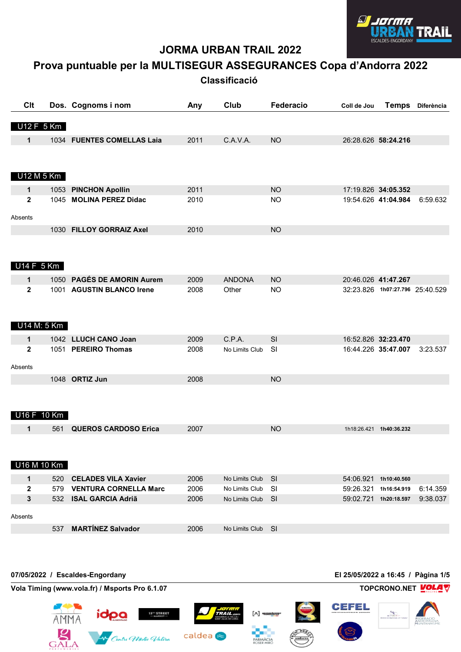

 $\odot$ 

 $\begin{pmatrix} \sqrt{\sqrt{2}} & \sqrt{\sqrt{2}} & \sqrt{\sqrt{2}} \\ \sqrt{\sqrt{2}} & \sqrt{\sqrt{2}} & \sqrt{\sqrt{2}} \\ \sqrt{\sqrt{2}} & \sqrt{\sqrt{2}} & \sqrt{\sqrt{2}} \\ \sqrt{\sqrt{2}} & \sqrt{\sqrt{2}} & \sqrt{\sqrt{2}} \\ \sqrt{\sqrt{2}} & \sqrt{\sqrt{2}} & \sqrt{\sqrt{2}} \\ \sqrt{\sqrt{2}} & \sqrt{\sqrt{2}} & \sqrt{\sqrt{2}} \\ \sqrt{\sqrt{2}} & \sqrt{\sqrt{2}} & \sqrt{\sqrt{2}} \\ \sqrt{\sqrt{2}} & \sqrt{\sqrt{2}} & \sqrt{\sqrt{2}} \\ \sqrt{\sqrt{2}} & \sqrt{\sqrt{2}} & \sqrt{\sqrt{2$ 

**KMÀCIA** 

# **JORMA URBAN TRAIL 2022**

# **Prova puntuable per la MULTISEGUR ASSEGURANCES Copa d'Andorra 2022**

**Classificació** 

| Clt            |             |     | Dos. Cognoms i nom                             | Any  | Club           | Federacio         | Coll de Jou                        | <b>Temps</b>                    | Diferència         |
|----------------|-------------|-----|------------------------------------------------|------|----------------|-------------------|------------------------------------|---------------------------------|--------------------|
|                | U12 F 5 Km  |     |                                                |      |                |                   |                                    |                                 |                    |
| $\mathbf 1$    |             |     | 1034 FUENTES COMELLAS Laia                     | 2011 | C.A.V.A.       | <b>NO</b>         |                                    | 26:28.626 58:24.216             |                    |
|                |             |     |                                                |      |                |                   |                                    |                                 |                    |
|                | U12 M 5 Km  |     |                                                |      |                |                   |                                    |                                 |                    |
| 1              |             |     | 1053 PINCHON Apollin                           | 2011 |                | <b>NO</b>         |                                    | 17:19.826 34:05.352             |                    |
| $\mathbf{2}$   |             |     | 1045 MOLINA PEREZ Didac                        | 2010 |                | <b>NO</b>         |                                    | 19:54.626 41:04.984             | 6:59.632           |
|                |             |     |                                                |      |                |                   |                                    |                                 |                    |
| Absents        |             |     |                                                |      |                |                   |                                    |                                 |                    |
|                |             |     | 1030 FILLOY GORRAIZ Axel                       | 2010 |                | <b>NO</b>         |                                    |                                 |                    |
|                |             |     |                                                |      |                |                   |                                    |                                 |                    |
|                |             |     |                                                |      |                |                   |                                    |                                 |                    |
|                | U14 F 5 Km  |     |                                                |      |                |                   |                                    |                                 |                    |
| $\mathbf 1$    |             |     | 1050 PAGÉS DE AMORIN Aurem                     | 2009 | <b>ANDONA</b>  | <b>NO</b>         |                                    | 20:46.026 41:47.267             |                    |
| $\overline{2}$ |             |     | 1001 AGUSTIN BLANCO Irene                      | 2008 | Other          | <b>NO</b>         |                                    | 32:23.826 1h07:27.796 25:40.529 |                    |
|                |             |     |                                                |      |                |                   |                                    |                                 |                    |
|                |             |     |                                                |      |                |                   |                                    |                                 |                    |
|                | U14 M: 5 Km |     |                                                |      |                |                   |                                    |                                 |                    |
| 1              |             |     | 1042 LLUCH CANO Joan                           | 2009 | C.P.A.         | SI                |                                    | 16:52.826 32:23.470             |                    |
| $\mathbf{2}$   |             |     | 1051 PEREIRO Thomas                            | 2008 | No Limits Club | <b>SI</b>         |                                    | 16:44.226 35:47.007             | 3:23.537           |
|                |             |     |                                                |      |                |                   |                                    |                                 |                    |
| Absents        |             |     |                                                |      |                |                   |                                    |                                 |                    |
|                |             |     | 1048 ORTIZ Jun                                 | 2008 |                | <b>NO</b>         |                                    |                                 |                    |
|                |             |     |                                                |      |                |                   |                                    |                                 |                    |
|                |             |     |                                                |      |                |                   |                                    |                                 |                    |
|                | U16 F 10 Km |     |                                                |      |                |                   |                                    |                                 |                    |
| $\mathbf 1$    |             | 561 | <b>QUEROS CARDOSO Erica</b>                    | 2007 |                | <b>NO</b>         |                                    | 1h18:26.421 1h40:36.232         |                    |
|                |             |     |                                                |      |                |                   |                                    |                                 |                    |
|                |             |     |                                                |      |                |                   |                                    |                                 |                    |
|                | U16 M 10 Km |     |                                                |      |                |                   |                                    |                                 |                    |
| 1              |             | 520 | <b>CELADES VILA Xavier</b>                     | 2006 | No Limits Club | <b>SI</b>         |                                    | 54:06.921 1h10:40.560           |                    |
| $\mathbf{2}$   |             | 579 | <b>VENTURA CORNELLA Marc</b>                   | 2006 | No Limits Club | SI                |                                    | 59:26.321 1h16:54.919           | 6:14.359           |
| 3              |             | 532 | <b>ISAL GARCIA Adriã</b>                       | 2006 | No Limits Club | <b>SI</b>         |                                    | 59:02.721 1h20:18.597           | 9:38.037           |
| Absents        |             |     |                                                |      |                |                   |                                    |                                 |                    |
|                |             | 537 | <b>MARTÍNEZ Salvador</b>                       | 2006 | No Limits Club | <b>SI</b>         |                                    |                                 |                    |
|                |             |     |                                                |      |                |                   |                                    |                                 |                    |
|                |             |     |                                                |      |                |                   |                                    |                                 |                    |
|                |             |     |                                                |      |                |                   |                                    |                                 |                    |
|                |             |     |                                                |      |                |                   |                                    |                                 |                    |
|                |             |     | 07/05/2022 / Escaldes-Engordany                |      |                |                   | El 25/05/2022 a 16:45 / Pàgina 1/5 |                                 |                    |
|                |             |     | Vola Timing (www.vola.fr) / Msports Pro 6.1.07 |      |                |                   |                                    |                                 | TOPCRONO.NET VOLAV |
|                |             |     |                                                |      |                |                   | CEFEL                              |                                 |                    |
|                |             |     | 13 <sup>%</sup> STREET<br>- MARKET-<br>iopa    |      |                | $[\wedge]$ 468km' |                                    |                                 |                    |

We Centre Madie Valira Caldea

 $G<sub>ALA</sub>$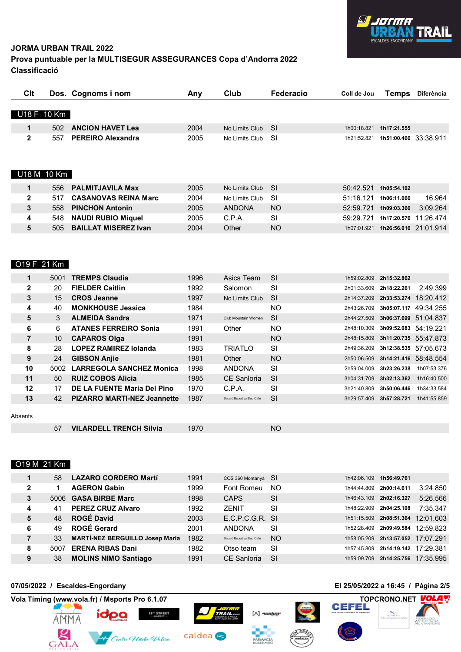

#### **Prova puntuable per la MULTISEGUR ASSEGURANCES Copa d'Andorra 2022 Classificació**

| Clt          |     | Dos. Cognoms i nom          | Any  | Club           | Federacio       | Coll de Jou | Temps       | Diferència            |
|--------------|-----|-----------------------------|------|----------------|-----------------|-------------|-------------|-----------------------|
|              |     |                             |      |                |                 |             |             |                       |
| U18 F 10 Km  |     |                             |      |                |                 |             |             |                       |
| 1            | 502 | <b>ANCION HAVET Lea</b>     | 2004 | No Limits Club | -SI             | 1h00:18.821 | 1h17:21.555 |                       |
| $\mathbf{2}$ | 557 | <b>PEREIRO Alexandra</b>    | 2005 | No Limits Club | -SI             | 1h21:52.821 |             | 1h51:00.466 33:38.911 |
|              |     |                             |      |                |                 |             |             |                       |
| U18 M 10 Km  |     |                             |      |                |                 |             |             |                       |
| 1            | 556 | <b>PALMITJAVILA Max</b>     | 2005 | No Limits Club | <b>SI</b>       | 50:42.521   | 1h05:54.102 |                       |
| 2            | 517 | <b>CASANOVAS REINA Marc</b> | 2004 | No Limits Club | -SI             | 51:16.121   | 1h06:11.066 | 16.964                |
| 3            | 558 | <b>PINCHON Antonin</b>      | 2005 | <b>ANDONA</b>  | NO <sub>1</sub> | 52:59.721   | 1h09:03.366 | 3:09.264              |
| 4            | 548 | <b>NAUDI RUBIO Miquel</b>   | 2005 | C.P.A.         | <b>SI</b>       | 59:29.721   | 1h17:20.576 | 11:26.474             |
| 5            | 505 | <b>BAILLAT MISEREZ Ivan</b> | 2004 | Other          | NO.             | 1h07:01.921 |             | 1h26:56.016 21:01.914 |
|              |     |                             |      |                |                 |             |             |                       |
|              |     |                             |      |                |                 |             |             |                       |
| O19 F 21 Km  |     |                             |      |                |                 |             |             |                       |

|              | 5001 | <b>TREMPS Claudia</b>              | 1996 | Asics Team                 | <b>SI</b> | 1h59:02.809 | 2h15:32.862           |                       |
|--------------|------|------------------------------------|------|----------------------------|-----------|-------------|-----------------------|-----------------------|
| $\mathbf{2}$ | 20   | <b>FIELDER Caitlin</b>             | 1992 | Salomon                    | <b>SI</b> | 2h01:33.609 | 2h18:22.261           | 2:49.399              |
| 3            | 15   | <b>CROS Jeanne</b>                 | 1997 | No Limits Club             | -SI       | 2h14:37.209 |                       | 2h33:53.274 18:20.412 |
| 4            | 40   | <b>MONKHOUSE Jessica</b>           | 1984 |                            | NO.       | 2h43:26.709 | 3h05:07.117 49:34.255 |                       |
| 5            | 3    | <b>ALMEIDA Sandra</b>              | 1971 | Club Mountain Women        | <b>SI</b> | 2h44:27.509 |                       | 3h06:37.699 51:04.837 |
| 6            | 6.   | <b>ATANES FERREIRO Sonia</b>       | 1991 | Other                      | NO.       | 2h48:10.309 | 3h09:52.083 54:19.221 |                       |
| 7            | 10   | <b>CAPAROS Olga</b>                | 1991 |                            | NO.       | 2h48:15.809 |                       | 3h11:20.735 55:47.873 |
| 8            | 28   | <b>LOPEZ RAMIREZ lolanda</b>       | 1983 | <b>TRIATLO</b>             | SI        | 2h49:36.209 | 3h12:38.535 57:05.673 |                       |
| 9            | 24   | <b>GIBSON Anjie</b>                | 1981 | Other                      | NO.       | 2h50:06.509 |                       | 3h14:21.416 58:48.554 |
| 10           | 5002 | <b>LARREGOLA SANCHEZ Monica</b>    | 1998 | <b>ANDONA</b>              | <b>SI</b> | 2h59:04.009 | 3h23:26.238           | 1h07:53.376           |
| 11           | 50   | <b>RUIZ COBOS Alicia</b>           | 1985 | <b>CE Sanloria</b>         | -SI       | 3h04:31.709 | 3h32:13.362           | 1h16:40.500           |
| 12           | 17   | DE LA FUENTE Maria Del Pino        | 1970 | C.P.A.                     | <b>SI</b> | 3h21:40.809 | 3h50:06.446           | 1h34:33.584           |
| 13           | 42   | <b>PIZARRO MARTI-NEZ Jeannette</b> | 1987 | Secció Esportiva Bloc Café | <b>SI</b> | 3h29:57.409 | 3h57:28.721           | 1h41:55.859           |
|              |      |                                    |      |                            |           |             |                       |                       |

#### Absents

| <b>VILARDELL TRENCH Silvia</b> | <b>NC</b> |  |
|--------------------------------|-----------|--|

#### O19 M 21 Km

|              | 58   | <b>LAZARO CORDERO Martí</b>            | 1991 | COS 360 Montanyà SI        |     | 1h42:06.109 | 1h56:49.761 |           |
|--------------|------|----------------------------------------|------|----------------------------|-----|-------------|-------------|-----------|
| $\mathbf{2}$ |      | <b>AGERON Gabin</b>                    | 1999 | Font Romeu                 | NO. | 1h44:44.809 | 2h00:14.611 | 3:24.850  |
| 3            |      | 5006 GASA BIRBE Marc                   | 1998 | <b>CAPS</b>                | -SI | 1h46:43.109 | 2h02:16.327 | 5:26.566  |
| 4            | 41   | <b>PEREZ CRUZ Alvaro</b>               | 1992 | <b>ZENIT</b>               | SI  | 1h48:22.909 | 2h04:25.108 | 7:35.347  |
| 5            | 48   | <b>ROGÉ David</b>                      | 2003 | E.C.P.C.G.R. SI            |     | 1h51:15.509 | 2h08:51.364 | 12:01.603 |
| 6            | 49   | <b>ROGÉ Gerard</b>                     | 2001 | <b>ANDONA</b>              | SI  | 1h52:28.409 | 2h09:49.584 | 12:59.823 |
|              | 33   | <b>MARTÍ-NEZ BERGUILLO Josep Maria</b> | 1982 | Secció Esportiva Bloc Café | NO. | 1h58:05.209 | 2h13:57.052 | 17:07.291 |
| 8            | 5007 | <b>ERENA RIBAS Dani</b>                | 1982 | Otso team                  | -SI | 1h57:45.809 | 2h14:19.142 | 17:29.381 |
| 9            | 38   | <b>MOLINS NIMO Santiago</b>            | 1991 | CE Sanloria                | -SI | 1h59:09.709 | 2h14:25.756 | 17:35.995 |







caldea<sup>®</sup>

 $[\wedge]$  468km



## **07/05/2022 / Escaldes-Engordany El 25/05/2022 a 16:45 / Pàgina 2/5**

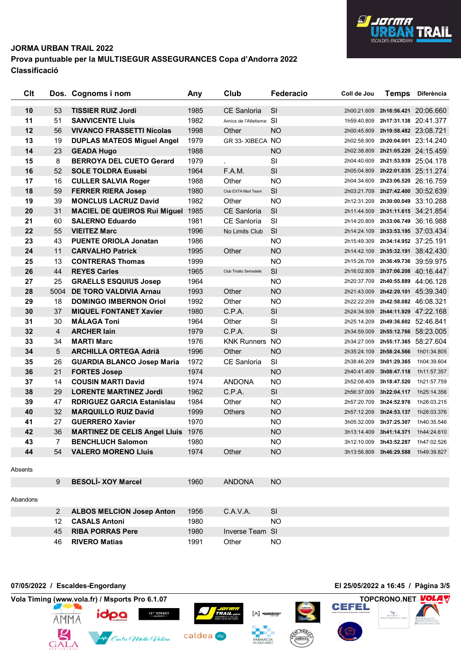

#### **Prova puntuable per la MULTISEGUR ASSEGURANCES Copa d'Andorra 2022 Classificació**

| Clt |                | Dos. Cognoms i nom                   | Any  | Club                    | Federacio | Coll de Jou | <b>Temps</b>                      | <b>Diferència</b>     |
|-----|----------------|--------------------------------------|------|-------------------------|-----------|-------------|-----------------------------------|-----------------------|
| 10  | 53             | <b>TISSIER RUIZ Jordi</b>            | 1985 | <b>CE Sanloria</b>      | <b>SI</b> |             | 2h00:21.609 2h16:56.421 20:06.660 |                       |
| 11  | 51             | <b>SANVICENTE LIUIS</b>              | 1982 | Amics de l'Atletisme SI |           |             | 1h59:40.809 2h17:31.138 20:41.377 |                       |
| 12  | 56             | <b>VIVANCO FRASSETTI Nicolas</b>     | 1998 | Other                   | <b>NO</b> |             | 2h00:45.809 2h19:58.482 23:08.721 |                       |
| 13  | 19             | <b>DUPLAS MATEOS Miguel Angel</b>    | 1979 | GR 33- XIBECA NO        |           |             | 2h02:58.909 2h20:04.001 23:14.240 |                       |
| 14  | 23             | <b>GEADA Hugo</b>                    | 1988 |                         | <b>NO</b> |             | 2h02:38.809 2h21:05.220 24:15.459 |                       |
| 15  | 8              | <b>BERROYA DEL CUETO Gerard</b>      | 1979 |                         | SI        |             | 2h04:40.609 2h21:53.939 25:04.178 |                       |
| 16  | 52             | <b>SOLE TOLDRA Eusebi</b>            | 1964 | F.A.M.                  | SI        |             | 2h05:04.809 2h22:01.035 25:11.274 |                       |
| 17  | 16             | <b>CULLER SALVIA Roger</b>           | 1988 | Other                   | <b>NO</b> | 2h04:34.609 | 2h23:06.520 26:16.759             |                       |
| 18  | 59             | <b>FERRER RIERA Josep</b>            | 1980 | Club EXTA Mad Team      | SI        |             | 2h03:21.709 2h27:42.400 30:52.639 |                       |
| 19  | 39             | <b>MONCLUS LACRUZ David</b>          | 1982 | Other                   | <b>NO</b> | 2h12:31.209 |                                   | 2h30:00.049 33:10.288 |
| 20  | 31             | <b>MACIEL DE QUEIROS Rui Miguel</b>  | 1985 | <b>CE Sanloria</b>      | SI        | 2h11:44.509 |                                   | 2h31:11.615 34:21.854 |
| 21  | 60             | <b>SALERNO Eduardo</b>               | 1981 | <b>CE Sanloria</b>      | SI.       |             | 2h14:20.809 2h33:06.749 36:16.988 |                       |
| 22  | 55             | <b>VIEITEZ Marc</b>                  | 1996 | No Limits Club          | <b>SI</b> |             | 2h14:24.109 2h33:53.195 37:03.434 |                       |
| 23  | 43             | <b>PUENTE ORIOLA Jonatan</b>         | 1986 |                         | <b>NO</b> |             | 2h15:49.309 2h34:14.952 37:25.191 |                       |
| 24  | 11             | <b>CARVALHO Patrick</b>              | 1995 | Other                   | <b>NO</b> |             | 2h14:42.109 2h35:32.191 38:42.430 |                       |
| 25  | 13             | <b>CONTRERAS Thomas</b>              | 1999 |                         | <b>NO</b> |             | 2h15:26.709 2h36:49.736 39:59.975 |                       |
| 26  | 44             | <b>REYES Carles</b>                  | 1965 | Club Triatlo Serradells | <b>SI</b> |             | 2h16:02.809 2h37:06.208 40:16.447 |                       |
| 27  | 25             | <b>GRAELLS ESQUIUS Josep</b>         | 1964 |                         | <b>NO</b> |             | 2h20:37.709 2h40:55.889 44:06.128 |                       |
| 28  | 5004           | DE TORO VALDIVIA Arnau               | 1993 | Other                   | <b>NO</b> |             | 2h21:43.009 2h42:29.101 45:39.340 |                       |
| 29  | 18             | <b>DOMINGO IMBERNON Oriol</b>        | 1992 | Other                   | <b>NO</b> |             | 2h22:22.209 2h42:58.082 46:08.321 |                       |
| 30  | 37             | <b>MIQUEL FONTANET Xavier</b>        | 1980 | C.P.A.                  | SI        |             | 2h24:34.509 2h44:11.929 47:22.168 |                       |
| 31  | 30             | <b>MÁLAGA Toni</b>                   | 1964 | Other                   | SI        |             | 2h25:14.209 2h49:36.602 52:46.841 |                       |
| 32  | $\overline{4}$ | <b>ARCHER lain</b>                   | 1979 | C.P.A.                  | SI        |             | 2h34:59.009 2h55:12.766 58:23.005 |                       |
| 33  | 34             | <b>MARTI Marc</b>                    | 1976 | <b>KNK Runners NO</b>   |           |             | 2h34:27.009 2h55:17.365 58:27.604 |                       |
| 34  | 5              | <b>ARCHILLA ORTEGA Adriã</b>         | 1996 | Other                   | <b>NO</b> | 2h35:24.109 | 2h58:24.566                       | 1h01:34.805           |
| 35  | 26             | <b>GUARDIA BLANCO Josep Maria</b>    | 1972 | CE Sanloria             | SI        | 2h38:46.209 | 3h01:29.365                       | 1h04:39.604           |
| 36  | 21             | <b>FORTES Josep</b>                  | 1974 |                         | <b>NO</b> |             | 2h40:41.409 3h08:47.118           | 1h11:57.357           |
| 37  | 14             | <b>COUSIN MARTI David</b>            | 1974 | <b>ANDONA</b>           | <b>NO</b> | 2h52:08.409 | 3h18:47.520                       | 1h21:57.759           |
| 38  | 29             | <b>LORENTE MARTINEZ Jordi</b>        | 1962 | C.P.A.                  | SI        | 2h56:37.009 | 3h22:04.117                       | 1h25:14.356           |
| 39  | 47             | <b>RDRIGUEZ GARCIA Estanislau</b>    | 1984 | Other                   | <b>NO</b> | 2h57:20.709 | 3h24:52.976                       | 1h28:03.215           |
| 40  | 32             | <b>MARQUILLO RUIZ David</b>          | 1999 | Others                  | <b>NO</b> |             | 2h57:12.209 3h24:53.137           | 1h28:03.376           |
| 41  | 27             | <b>GUERRERO Xavier</b>               | 1970 |                         | <b>NO</b> |             | 3h05:32.009 3h37:25.307           | 1h40:35.546           |
| 42  | 36             | <b>MARTINEZ DE CELIS Angel Lluis</b> | 1976 |                         | <b>NO</b> |             | 3h13:14.409 3h41:14.371           | 1h44:24.610           |
| 43  | $\overline{7}$ | <b>BENCHLUCH Salomon</b>             | 1980 |                         | <b>NO</b> |             | 3h12:10.009 3h43:52.287           | 1h47:02.526           |
| 44  | 54             | <b>VALERO MORENO Lluis</b>           | 1974 | Other                   | NO.       |             | 3h13:56.809 3h46:29.588           | 1h49:39.827           |

### Aband

| ons |     |                             |      |                        |      |
|-----|-----|-----------------------------|------|------------------------|------|
|     |     | 2 ALBOS MELCION Josep Anton | 1956 | C.A.V.A.               | -SI. |
|     | 12. | <b>CASALS Antoni</b>        | 1980 |                        | NO.  |
|     |     | 45 RIBA PORRAS Pere         | 1980 | <b>Inverse Team SI</b> |      |
|     |     | 46 RIVERO Matias            | 1991 | Other                  | NO.  |

[^] *468km* 







**BESOLÍ- XOY Marcel** 1960 ANDONA NO

13<sup>%</sup> STREET<br>- MARKET-

**07/05/2022 / Escaldes-Engordany El 25/05/2022 a 16:45 / Pàgina 3/5**

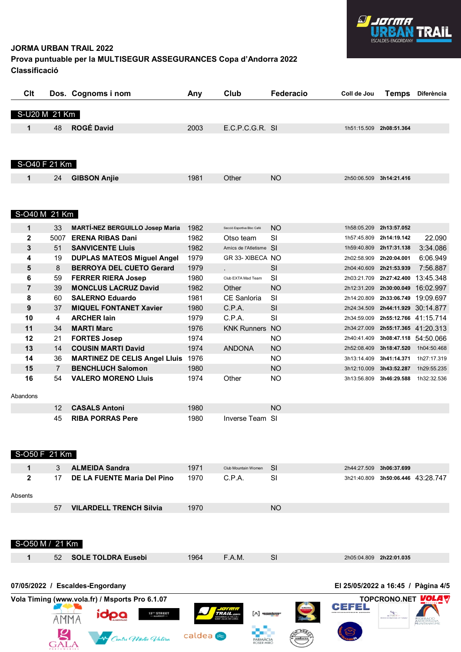

### **Prova puntuable per la MULTISEGUR ASSEGURANCES Copa d'Andorra 2022 Classificació**

| Clt           |    | Dos. Cognoms i nom  | Any  | Club  | Federacio       | Coll de Jou | <b>Temps</b> | <b>Diferència</b> |
|---------------|----|---------------------|------|-------|-----------------|-------------|--------------|-------------------|
| S-U20 M 21 Km |    |                     |      |       |                 |             |              |                   |
| 1             | 48 | <b>ROGÉ David</b>   | 2003 |       | E.C.P.C.G.R. SI | 1h51:15.509 | 2h08:51.364  |                   |
|               |    |                     |      |       |                 |             |              |                   |
|               |    |                     |      |       |                 |             |              |                   |
| S-O40 F 21 Km |    |                     |      |       |                 |             |              |                   |
| 1             | 24 | <b>GIBSON Anjie</b> | 1981 | Other | <b>NO</b>       | 2h50:06.509 | 3h14:21.416  |                   |

#### S-O40 M 21 Km

GALA

| 1            | 33             | <b>MARTÍ-NEZ BERGUILLO Josep Maria</b> | 1982 | Secció Esportiva Bloc Café | NO.       | 1h58:05.209 | 2h13:57.052           |                       |
|--------------|----------------|----------------------------------------|------|----------------------------|-----------|-------------|-----------------------|-----------------------|
| $\mathbf{2}$ | 5007           | <b>ERENA RIBAS Dani</b>                | 1982 | Otso team                  | <b>SI</b> | 1h57:45.809 | 2h14:19.142           | 22.090                |
| 3            | 51             | <b>SANVICENTE LIUIS</b>                | 1982 | Amics de l'Atletisme SI    |           | 1h59:40.809 | 2h17:31.138           | 3:34.086              |
| 4            | 19             | <b>DUPLAS MATEOS Miguel Angel</b>      | 1979 | GR 33- XIBECA NO           |           | 2h02:58.909 | 2h20:04.001           | 6:06.949              |
| 5            | 8              | <b>BERROYA DEL CUETO Gerard</b>        | 1979 |                            | <b>SI</b> | 2h04:40.609 | 2h21:53.939           | 7:56.887              |
| 6            | 59             | <b>FERRER RIERA Josep</b>              | 1980 | Club EXTA Mad Team         | SI        | 2h03:21.709 | 2h27:42.400           | 13:45.348             |
| 7            | 39             | <b>MONCLUS LACRUZ David</b>            | 1982 | Other                      | NO.       | 2h12:31.209 |                       | 2h30:00.049 16:02.997 |
| 8            | 60             | <b>SALERNO Eduardo</b>                 | 1981 | CE Sanloria                | SI        | 2h14:20.809 | 2h33:06.749 19:09.697 |                       |
| 9            | 37             | <b>MIQUEL FONTANET Xavier</b>          | 1980 | C.P.A.                     | <b>SI</b> | 2h24:34.509 |                       | 2h44:11.929 30:14.877 |
| 10           | 4              | <b>ARCHER lain</b>                     | 1979 | C.P.A.                     | SI        | 2h34:59.009 | 2h55:12.766 41:15.714 |                       |
| 11           | 34             | <b>MARTI Marc</b>                      | 1976 | <b>KNK Runners NO</b>      |           | 2h34:27.009 |                       | 2h55:17.365 41:20.313 |
| 12           | 21             | <b>FORTES Josep</b>                    | 1974 |                            | <b>NO</b> | 2h40:41.409 |                       | 3h08:47.118 54:50.066 |
| 13           | 14             | <b>COUSIN MARTI David</b>              | 1974 | <b>ANDONA</b>              | <b>NO</b> | 2h52:08.409 | 3h18:47.520           | 1h04:50.468           |
| 14           | 36             | <b>MARTINEZ DE CELIS Angel Lluis</b>   | 1976 |                            | NO.       | 3h13:14.409 | 3h41:14.371           | 1h27:17.319           |
| 15           | $\overline{7}$ | <b>BENCHLUCH Salomon</b>               | 1980 |                            | NO.       | 3h12:10.009 | 3h43:52.287           | 1h29:55.235           |
| 16           | 54             | <b>VALERO MORENO Lluis</b>             | 1974 | Other                      | NO.       | 3h13:56.809 | 3h46:29.588           | 1h32:32.536           |
| Abandons     |                |                                        |      |                            |           |             |                       |                       |

| 12 CASALS Antoni        | 1980.                   | NΟ |
|-------------------------|-------------------------|----|
| <b>RIBA PORRAS Pere</b> | 1980<br>Inverse Team SI |    |

|         | S-050 F 21 Km   |    |                                |      |                     |           |             |                       |  |
|---------|-----------------|----|--------------------------------|------|---------------------|-----------|-------------|-----------------------|--|
|         | 1               | 3  | <b>ALMEIDA Sandra</b>          | 1971 | Club Mountain Women | -SI       | 2h44:27.509 | 3h06:37.699           |  |
|         | $\mathbf{2}$    | 17 | DE LA FUENTE Maria Del Pino    | 1970 | C.P.A.              | <b>SI</b> | 3h21:40.809 | 3h50:06.446 43:28.747 |  |
| Absents |                 |    |                                |      |                     |           |             |                       |  |
|         |                 | 57 | <b>VILARDELL TRENCH Silvia</b> | 1970 |                     | NO.       |             |                       |  |
|         |                 |    |                                |      |                     |           |             |                       |  |
|         | $S-O50 M/21 Km$ |    |                                |      |                     |           |             |                       |  |
|         | 1               | 52 | <b>SOLE TOLDRA Eusebi</b>      | 1964 | F.A.M.              | <b>SI</b> | 2h05:04.809 | 2h22:01.035           |  |
|         |                 |    |                                |      |                     |           |             |                       |  |

#### **07/05/2022 / Escaldes-Engordany El 25/05/2022 a 16:45 / Pàgina 4/5 Vola Timing (www.vola.fr) / Msports Pro 6.1.07 TOPCRONO.NET TOPCRONO.NET** idpa *LIGHT*<br>TRAIL 13<sup>%</sup> STREET<br>- MARKET-[^] *468km* AMMA

caldea<sup>®</sup>

**Contre Wadie Valira**